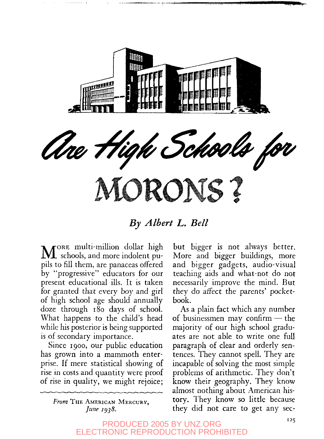

## *By Albert L. Bell*

MORE multi-million dollar high<br>schools, and more indolent pu-ORE multi-million dollar high pils to fill them, are panaceas offered by "progressive" educators for our present educational ills. It is taken for granted that every boy and girl of high school age should annually doze through 180 days of school. What happens to the child's head while his posterior is being supported is of secondary importance.

Since 1900, our public education has grown into a mammoth enterprise. If mere statistical showing of rise in costs and quantity were proof of rise in quality, we might rejoice;

> *From* THE AMERICAN MERCURV, *June 1938.*

but bigger is not always better. More and bigger buildings, more and bigger gadgets, audio-visual teaching aids and what-not do not necessarily improve the mind. But they do affect the parents' pocketbook.

As a plain fact which any number of businessmen may confirm — the majority of our high school graduates are not able to write one full paragraph of clear and orderly sentences. They cannot spell. They are incapable of solving the most simple problems of arithmetic. They don't know their geography. They know almost nothing about American history. They know so little because they did not care to get any sec-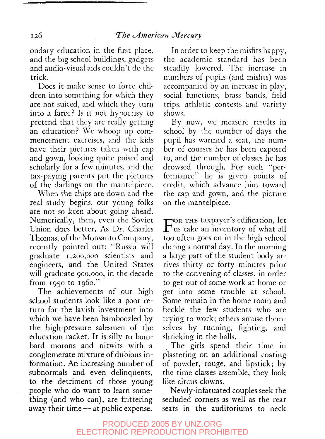ondary education in the first place, and the big school buildings, gadgets and audio-visual aids couldn't do the trick.

Does it make sense to force children into something for which they are not suited, and which they turn into a farce? Is it not hypocrisy to pretend that they are really getting an education? We whoop up commencement exercises, and the kids have their pictures taken with cap and gown, looking quite poised and scholarly for a few minutes, and the tax-paying parents put the pictures of the darlings on the mantelpiece.

When the chips are down and the real study begins, our young folks are not so keen about going ahead. Numerically, then, even the Soviet Union does better. As Dr. Charles Thomas, of the Monsanto Company, recently pointed out: "Russia will graduate 1,200,000 scientists and engineers, and the United States will graduate 900,000, in the decade from 1950 to i960."

The achievements of our high school students look like a poor return for the lavish investment into which we have been bamboozled by the high-pressure salesmen of the education racket. It is silly to bombard morons and nitwits with a conglomerate mixture of dubious information. An increasing number of subnormals and even delinquents, to the detriment of those young people who do want to learn something (and who can), are frittering away their time — at public expense.

In order to keep the misfits happy, the academic standard has been steadily lowered. The increase in numbers of pupils (and misfits) was accompanied by an increase in play, social functions, brass bands, field trips, athletic contests and variety shows.

By now, we measure results in school by the number of days the pupil has warmed a seat, the number of courses he has been exposed to, and the number of classes he has drowsed through. For such "performance" he is given points of credit, which advance him toward the cap and gown, and the picture on the mantelpiece.

FOR THE taxpayer's edification, let<br>us take an inventory of what all OR THE taxpayer's edification, let too often goes on in the high school during a normal day. In the morning a large part of the student body arrives thirty or forty minutes prior to the convening of classes, in order to get out of some work at home or get into some trouble at school. Some remain in the home room and heckle the few students who are trying to work; others amuse themselves by running, fighting, and shrieking in the halls.

The girls spend their time in plastering on an additional coating of powder, rouge, and lipstick; by the time classes assemble, they look like circus clowns.

Newly-infatuated couples seek the secluded corners as well as the rear seats in the auditoriums to neck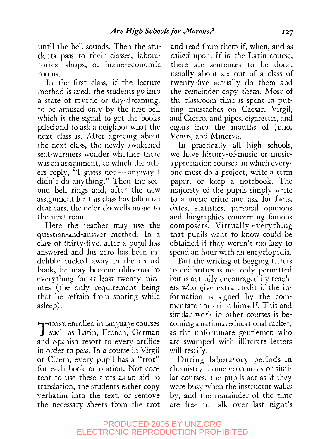until the bell sounds. Then the students pass to their classes, laboratories, shops, or home-economic rooms.

In the first class, if the lecture method is used, the students go into a state of reverie or day-dreaming, to be aroused only by the first bell which is the signal to get the books piled and to ask a neighbor what the next class is. After agreeing about the next class, the newly-awakened seat-warmers wonder whether there was an assignment, to which the others reply, "I guess not — anyway I didn't do anything." Then the second bell rings and, after the new assignment for this class has fallen on deaf ears, the ne'er-do-wells mope to the next room.

Here the teacher may use the question-and-answer method. In a class of thirty-five, after a pupil has answered and his zero has been indelibly tucked away in the record book, he may become oblivious to everything for at least twenty minutes (the only requirement being that he refrain from snoring while asleep).

Those enrolled in language courses<br>such as Latin, French, German  $H$ Hose enrolled in language courses and Spanish resort to every artifice in order to pass. In a course in Virgil or Cicero, every pupil has a "trot" for each book or oration. Not content to use these trots as an aid to translation, the students either copy verbatim into the text, or remove the necessary sheets from the trot and read from them if, when, and as called upon. If in the Latin course, there are sentences to be done, usually about six out of a class of twenty-five actually do them and the remainder copy them. Most of the classroom time is spent in putting mustaches on Caesar, Virgil, and Cicero, and pipes, cigarettes, and cigars into the mouths of Juno, Venus, and Minerva.

In practically all high schools, we have history-of-music or musicappreciation courses, in which everyone must do a project, write a term paper, or keep a notebook. The majority of the pupils simply write to a music critic and ask for facts, dates, statistics, personal opinions and biographies concerning famous composers. Virtually everything that pupils want to know could be obtained if they weren't too lazy to spend an hour with an encyclopedia.

But the writing of begging letters to celebrities is not only permitted but is actually encouraged by teachers who give extra credit if the information is signed by the commentator or critic himself. This and similar work in other courses is becoming a national educational racket, as the unfortunate gentlemen who are swamped with illiterate letters will testify.

During laboratory periods in chemistry, home economics or similar courses, the pupils act as if they were busy when the instructor walks by, and the remainder of the time are free to talk over last night's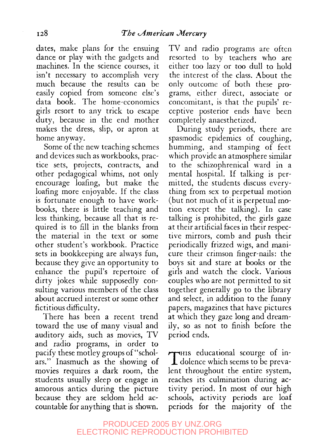dates, make plans for the ensuing dance or play with the gadgets and machines. In the science courses, it isn't necessary to accomplish very much because the results can be easily copied from someone else's data book. The home-economics girls resort to any trick to escape duty, because in the end mother makes the dress, slip, or apron at home anyway.

Some of the new teaching schemes and devices such as workbooks, practice sets, projects, contracts, and other pedagogical whims, not only encourage loafing, but make the loafing more enjoyable. If the class is fortunate enough to have workbooks, there is little teaching and less thinking, because all that is required is to fill in the blanks from the material in the text or some other student's workbook. Practice sets in bookkeeping are always fun, because they give an opportunity to enhance the pupil's repertoire of dirty jokes while supposedly consulting various members of the class about accrued interest or some other fictitious difficulty.

There has been a recent trend toward the use of many visual and auditory aids, such as movies, TV and radio programs, in order to pacify these motley groups of "scholars." Inasmuch as the showing of movies requires a dark room, the students usually sleep or engage in amorous antics during the picture because they are seldom held accountable for anything that is shown.

TV and radio programs are often resorted to by teachers who are either too lazy or too dull to hold the interest of the class. About the only outcome of both these programs, either direct, associate or concomitant, is that the pupils' receptive posterior ends have been completely anaesthetized.

During study periods, there are spasmodic epidemics of coughing, humming, and stamping of feet which provide an atmosphere similar to the schizophrenical ward in a mental hospital. If talking is permitted, the students discuss everything from sex to perpetual motion (but not much of it is perpetual motion except the talking). In case talking is prohibited, the girls gaze at their artificial faces in their respective mirrors, comb and push their periodically frizzed wigs, and manicure their crimson finger-nails: the boys sit and stare at books or the girls and watch the clock. Various couples who are not permitted to sit together generally go to the library and select, in addition to the funny papers, magazines that have pictures at which they gaze long and dreamily, so as not to finish before the period ends.

THIS educational scourge of in-<br>dolence which seems to be preva- $\perp$  dolence which seems to be prevalent throughout the entire system, reaches its culmination during activity period. In most of our high schools, activity periods are loaf periods for the majority of the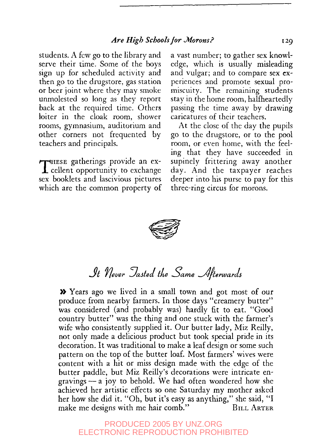students. A few go to the library and serve their time. Some of the boys sign up for scheduled activity and then go to the drugstore, gas station or beer joint where they may smoke unmolested so long as they report back at the required time. Others loiter in the cloak room, shower rooms, gymnasium, auditorium and other corners not frequented by teachers and principals.

THESE gatherings provide an ex-<br>cellent opportunity to exchange  $\perp$  cellent opportunity to exchange sex booklets and lascivious pictures which are the common property of

a vast number; to gather sex knowledge, which is usually misleading and vulgar; and to compare sex experiences and promote sexual promiscuity. The remaining students stay in the home room, halfheartedly passing the time away by drawing caricatures of their teachers.

At the close of the day the pupils go to the drugstore, or to the pool room, or even home, with the feeling that they have succeeded in supinely frittering away another day. And the taxpayer reaches deeper into his purse to pay for this three-ring circus for morons.



*<i>It Never Jasted the Same Afterwards* 

» Years ago we lived in a small town and got most of our produce from nearby farmers. In those days "creamery butter" was considered (and probably was) hardly fit to eat. "Good country butter" was the thing and one stuck with the farmer's wife who consistently supplied it. Our butter lady, Miz Reilly, not only made a delicious product but took special pride in its decoration. It was traditional to make a leaf design or some such pattern on the top of the butter loaf. Most farmers' wives were content with a hit or miss design made with the edge of the butter paddle, but Miz Reilly's decorations were intricate engravings— a joy to behold. We had often wondered how she achieved her artistic effects so one Saturday my mother asked her how she did it. "Oh, but it's easy as anything," she said, "I make me designs with me hair comb." BILL ARTER